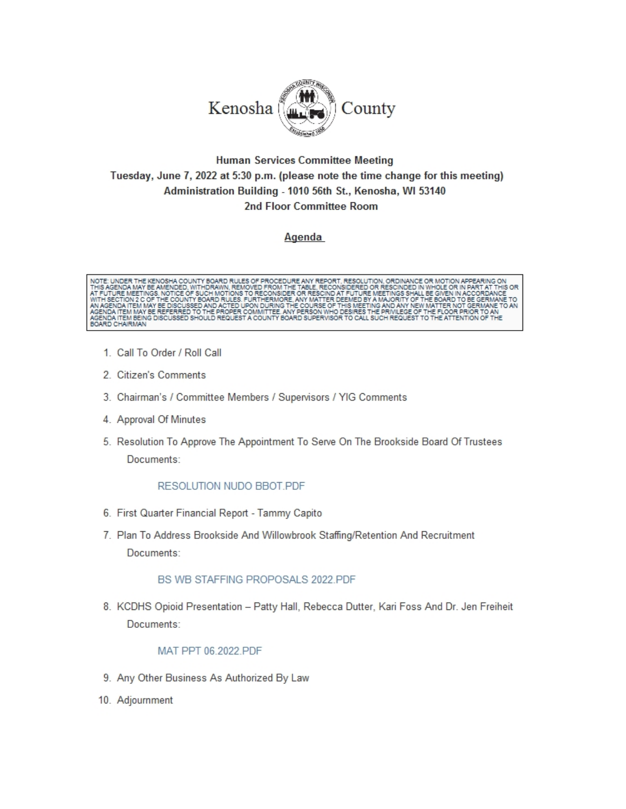

#### **Human Services Committee Meeting** Tuesday, June 7, 2022 at 5:30 p.m. (please note the time change for this meeting) Administration Building - 1010 56th St., Kenosha, WI 53140 2nd Floor Committee Room

#### Agenda



- 1. Call To Order / Roll Call
- 2. Citizen's Comments
- 3. Chairman's / Committee Members / Supervisors / YIG Comments
- 4. Approval Of Minutes
- 5. Resolution To Approve The Appointment To Serve On The Brookside Board Of Trustees Documents:

#### RESOLUTION NUDO BBOT.PDF

- 6. First Quarter Financial Report Tammy Capito
- 7. Plan To Address Brookside And Willowbrook Staffing/Retention And Recruitment Documents:

#### BS WB STAFFING PROPOSALS 2022.PDF

8. KCDHS Opioid Presentation - Patty Hall, Rebecca Dutter, Kari Foss And Dr. Jen Freiheit Documents:

#### MAT PPT 06.2022.PDF

- 9. Any Other Business As Authorized By Law
- 10. Adjournment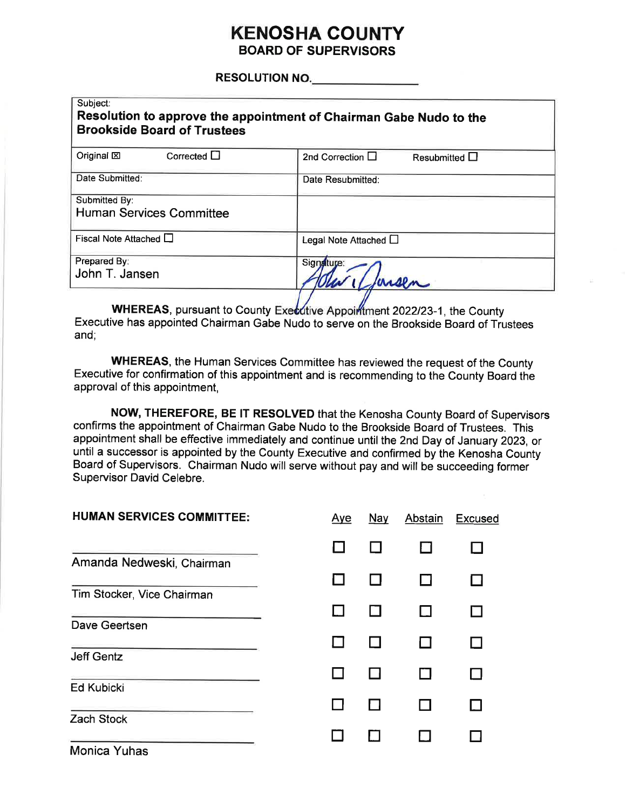#### **KENOSHA COUNT BOARD OF SUPERVISORS**

RESOLUTION NO.

| Subject:<br>Resolution to approve the appointment of Chairman Gabe Nudo to the<br><b>Brookside Board of Trustees</b> |                                        |  |  |  |  |  |  |
|----------------------------------------------------------------------------------------------------------------------|----------------------------------------|--|--|--|--|--|--|
| Corrected $\Box$<br>Original <b>図</b>                                                                                | 2nd Correction $\Box$<br>Resubmitted I |  |  |  |  |  |  |
| Date Submitted:                                                                                                      | Date Resubmitted:                      |  |  |  |  |  |  |
| Submitted By:<br><b>Human Services Committee</b>                                                                     |                                        |  |  |  |  |  |  |
| Fiscal Note Attached $\square$                                                                                       | Legal Note Attached O                  |  |  |  |  |  |  |
| Prepared By:<br>John T. Jansen                                                                                       | Signature:                             |  |  |  |  |  |  |

WHEREAS, pursuant to County Executive Appointment 2022/23-1, the County Executive has appointed Chairman Gabe Nudo to serve on the Brookside Board of Trustees and:

WHEREAS, the Human Services Committee has reviewed the request of the County Executive for confirmation of this appointment and is recommending to the County Board the approval of this appointment,

NOW, THEREFORE, BE IT RESOLVED that the Kenosha County Board of Supervisors confirms the appointment of Chairman Gabe Nudo to the Brookside Board of Trustees. This appointment shall be effective immediately and continue until the 2nd Day of January 2023, or until a successor is appointed by the County Executive and confirmed by the Kenosha County Board of Supervisors. Chairman Nudo will serve without pay and will be succeeding former Supervisor David Celebre.

| <b>HUMAN SERVICES COMMITTEE:</b> | Aye | Nay | Abstain | <b>Excused</b> |
|----------------------------------|-----|-----|---------|----------------|
|                                  |     |     |         |                |
| Amanda Nedweski, Chairman        |     |     |         |                |
| Tim Stocker, Vice Chairman       |     |     |         |                |
| Dave Geertsen                    |     |     |         |                |
|                                  |     |     |         |                |
| <b>Jeff Gentz</b>                |     |     |         |                |
| <b>Ed Kubicki</b>                |     |     |         |                |
|                                  |     |     |         |                |
| <b>Zach Stock</b>                |     |     |         |                |
| <b>Monica Yuhas</b>              |     |     |         |                |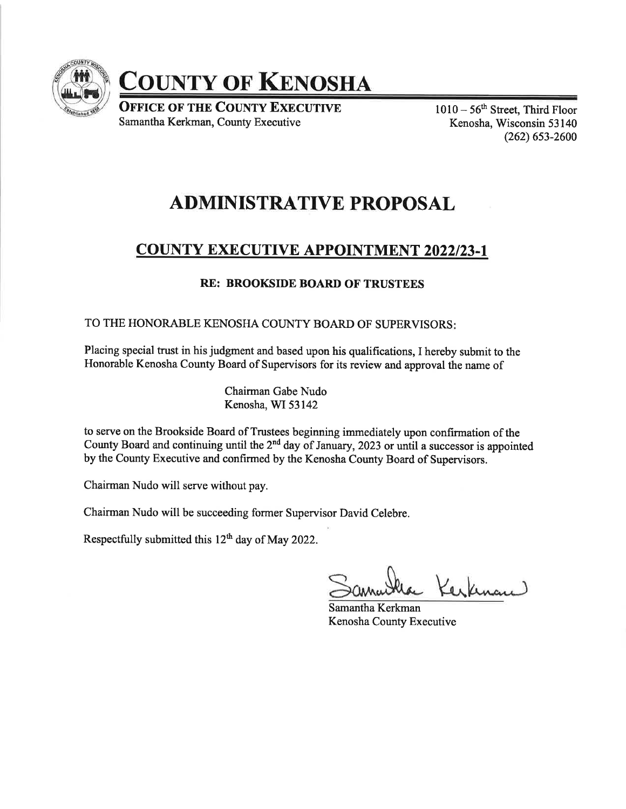

**COUNTY OF KENOSHA** 

**OFFICE OF THE COUNTY EXECUTIVE** Samantha Kerkman, County Executive

 $1010 - 56$ <sup>th</sup> Street, Third Floor Kenosha, Wisconsin 53 140 (262) 6s3-2600

#### ADMINISTRATIVE PROPOSAL

#### **COUNTY EXECUTIVE APPOINTMENT 2022/23-1**

#### RE: BROOKSIDE BOARD OF TRUSTEES

#### TO THE HONORABLE KENOSHA COUNTY BOARD OF SUPERVISORS

Placing special trust in his judgment and based upon his qualifrcations, I hereby submit to the Honorable Kenosha County Board of Supervisors for its review and approval the name of

> Chairman Gabe Nudo Kenosha, WI 53142

to serve on the Brookside Board of Trustees beginning immediately upon confirmation of the County Board and continuing until the  $2<sup>nd</sup>$  day of January, 2023 or until a successor is appointed by the County Executive and confirmed by the Kenosha County Board of Supervisors.

Chairman Nudo will serve without pay.

Chairman Nudo will be succeeding former Supervisor David Celebre.

Respectfully submitted this  $12<sup>th</sup>$  day of May 2022.

Kerkman

Samantha Kerkman Kenosha County Executive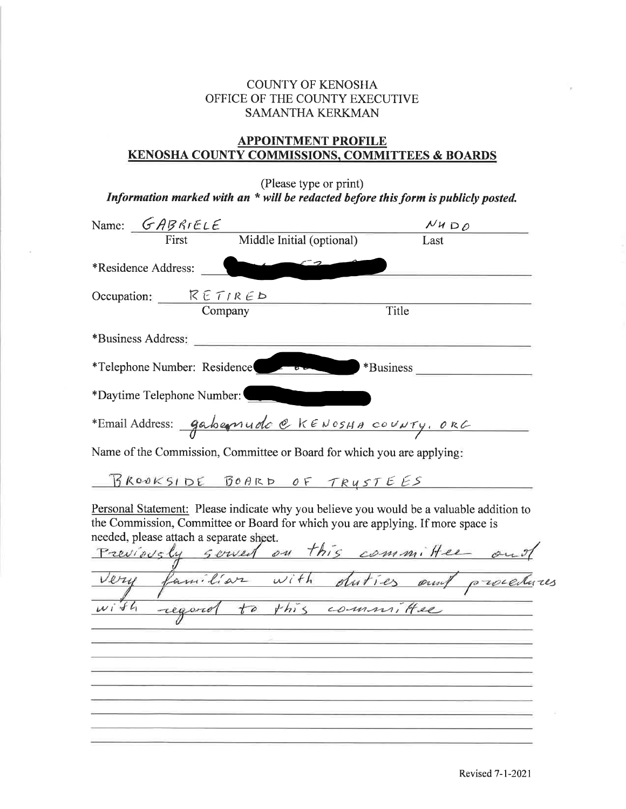#### COUNTY OF KENOSHA OFFICE OF THE COUNTY EXECUTIVE SAMANTHA KERKMAN

#### APPOINTMENT PROFILE KENOSHA COUNTY COMMISSIONS, COMMITTEES & BOARDS

(Please type or print)

Information marked with an \* will be redacted before this form is publicly posted.

|          | Name: GABRIELE                          |                             | $N$ <i>H</i> $D$ $O$                                                                                                                                                       |
|----------|-----------------------------------------|-----------------------------|----------------------------------------------------------------------------------------------------------------------------------------------------------------------------|
|          | First                                   | Middle Initial (optional)   | Last                                                                                                                                                                       |
|          | *Residence Address:                     |                             |                                                                                                                                                                            |
|          | Occupation: $RETIRED$<br>Company        |                             | Title                                                                                                                                                                      |
|          | *Business Address:                      |                             |                                                                                                                                                                            |
|          | *Telephone Number: Residence            |                             | *Business                                                                                                                                                                  |
|          | *Daytime Telephone Number:              |                             |                                                                                                                                                                            |
|          |                                         |                             | *Email Address: gabernudo @ KENOSHA COUNTY, ORG                                                                                                                            |
|          |                                         |                             | Name of the Commission, Committee or Board for which you are applying:                                                                                                     |
|          |                                         | BROOKSIDE BOARD OF TRUSTEES |                                                                                                                                                                            |
|          | needed, please attach a separate sheet. |                             | Personal Statement: Please indicate why you believe you would be a valuable addition to<br>the Commission, Committee or Board for which you are applying. If more space is |
|          |                                         |                             |                                                                                                                                                                            |
|          |                                         |                             | Previously served on this committee out                                                                                                                                    |
| $w$ i fh |                                         |                             | regard to this committee                                                                                                                                                   |
|          |                                         |                             |                                                                                                                                                                            |
|          |                                         |                             |                                                                                                                                                                            |
|          |                                         |                             |                                                                                                                                                                            |
|          |                                         |                             |                                                                                                                                                                            |
|          |                                         |                             |                                                                                                                                                                            |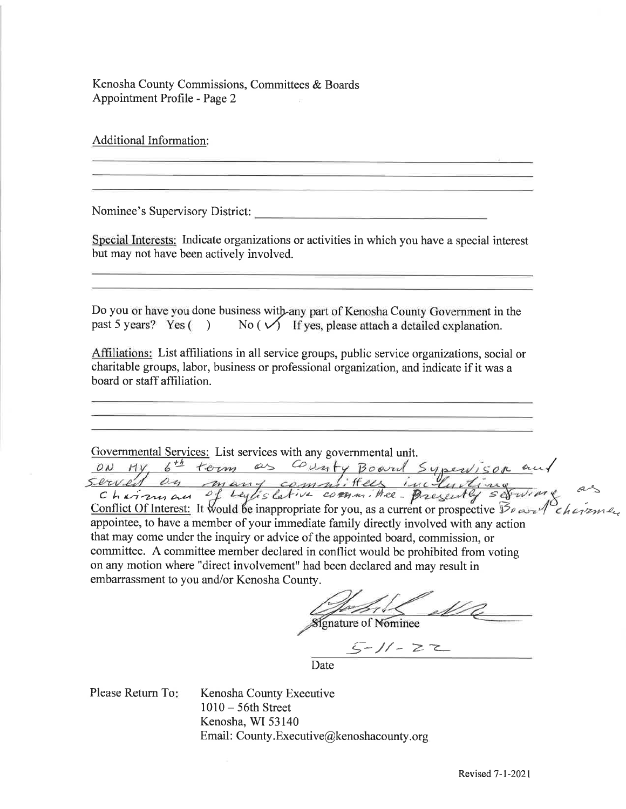Kenosha County Commissions, Committees & Boards Appointment Profile - Page 2

Additional Information:

Nominee's Supervisory District:

Special Interests: Indicate organizations or activities in which you have a special interest but may not have been actively involved.

Do you or have you done business with any part of Kenosha County Government in the past 5 years? Yes ( ) No ( $\sqrt{ }$  If yes, please attach a detailed explanation.

Affiliations: List affiliations in all service groups, public service organizations, social or charitable groups, labor, business or professional organization, and indicate if it was a board or staff affiliation.

Governmental Services: List services with any governmental umt. \* term as

 $c$  hairman of Leylislative committee-presently: Conflict Of Interest: It would be inappropriate for you, as a current or prospective  $\mathcal{B}_{\ell}$  and  $\ell$  is a remain A-\ appointee, to have a member of your immediate family directly involved with any action that may come under the inquiry or advice of the appointed board, commission, or committee. A committee member declared in conflict would be prohibited from voting on any motion where "direct involvement" had been declared and may result in embarrassment to you and/or Kenosha County.

**Signature of Nominee** 

 $-1/-22$ 

Date

Please Return To

Kenosha County Executive <sup>1010</sup>- 56th Street Kenosha, WI 53140 Email: County.Executive@kenoshacounty.org  $o_{\text{max}}$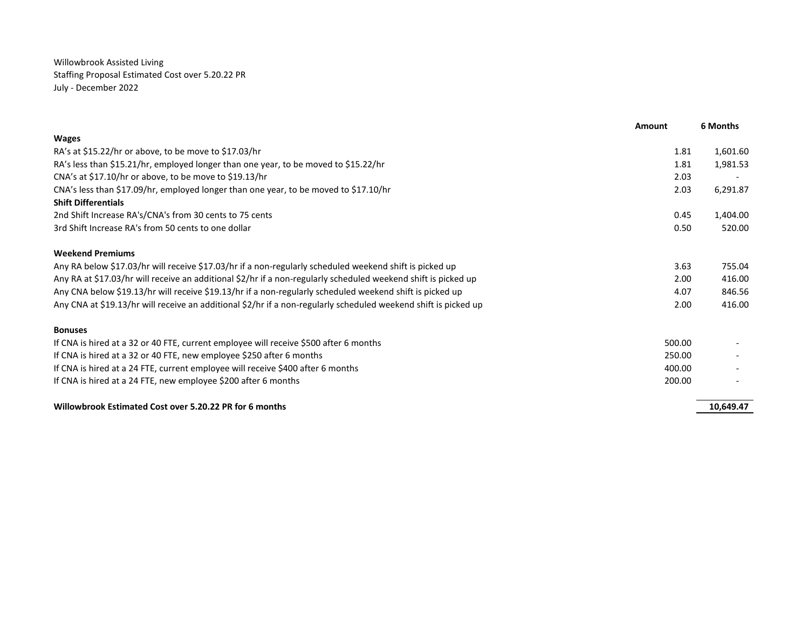Willowbrook Assisted Living Staffing Proposal Estimated Cost over 5.20.22 PR July - December 2022

|                                                                                                                 | Amount | 6 Months  |
|-----------------------------------------------------------------------------------------------------------------|--------|-----------|
| <b>Wages</b>                                                                                                    |        |           |
| RA's at \$15.22/hr or above, to be move to \$17.03/hr                                                           | 1.81   | 1,601.60  |
| RA's less than \$15.21/hr, employed longer than one year, to be moved to \$15.22/hr                             | 1.81   | 1,981.53  |
| CNA's at \$17.10/hr or above, to be move to \$19.13/hr                                                          | 2.03   |           |
| CNA's less than \$17.09/hr, employed longer than one year, to be moved to \$17.10/hr                            | 2.03   | 6,291.87  |
| <b>Shift Differentials</b>                                                                                      |        |           |
| 2nd Shift Increase RA's/CNA's from 30 cents to 75 cents                                                         | 0.45   | 1,404.00  |
| 3rd Shift Increase RA's from 50 cents to one dollar                                                             | 0.50   | 520.00    |
| <b>Weekend Premiums</b>                                                                                         |        |           |
| Any RA below \$17.03/hr will receive \$17.03/hr if a non-regularly scheduled weekend shift is picked up         | 3.63   | 755.04    |
| Any RA at \$17.03/hr will receive an additional \$2/hr if a non-regularly scheduled weekend shift is picked up  | 2.00   | 416.00    |
| Any CNA below \$19.13/hr will receive \$19.13/hr if a non-regularly scheduled weekend shift is picked up        | 4.07   | 846.56    |
| Any CNA at \$19.13/hr will receive an additional \$2/hr if a non-regularly scheduled weekend shift is picked up | 2.00   | 416.00    |
| <b>Bonuses</b>                                                                                                  |        |           |
| If CNA is hired at a 32 or 40 FTE, current employee will receive \$500 after 6 months                           | 500.00 |           |
| If CNA is hired at a 32 or 40 FTE, new employee \$250 after 6 months                                            | 250.00 |           |
| If CNA is hired at a 24 FTE, current employee will receive \$400 after 6 months                                 | 400.00 |           |
| If CNA is hired at a 24 FTE, new employee \$200 after 6 months                                                  | 200.00 |           |
| Willowbrook Estimated Cost over 5.20.22 PR for 6 months                                                         |        | 10,649.47 |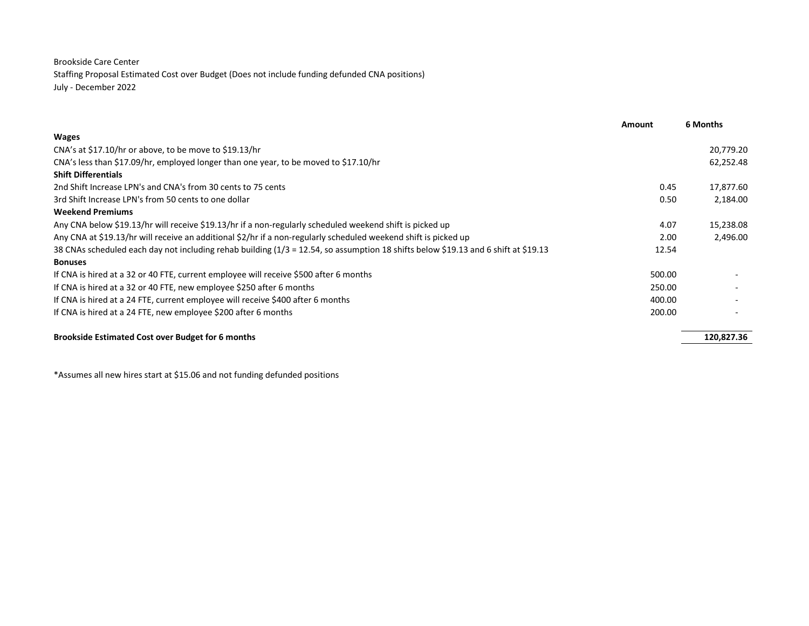#### Brookside Care Center

Staffing Proposal Estimated Cost over Budget (Does not include funding defunded CNA positions) July - December 2022

|                                                                                                                                    | <b>Amount</b> | 6 Months   |
|------------------------------------------------------------------------------------------------------------------------------------|---------------|------------|
| <b>Wages</b>                                                                                                                       |               |            |
| CNA's at \$17.10/hr or above, to be move to \$19.13/hr                                                                             |               | 20,779.20  |
| CNA's less than \$17.09/hr, employed longer than one year, to be moved to \$17.10/hr                                               |               | 62,252.48  |
| <b>Shift Differentials</b>                                                                                                         |               |            |
| 2nd Shift Increase LPN's and CNA's from 30 cents to 75 cents                                                                       | 0.45          | 17,877.60  |
| 3rd Shift Increase LPN's from 50 cents to one dollar                                                                               | 0.50          | 2,184.00   |
| <b>Weekend Premiums</b>                                                                                                            |               |            |
| Any CNA below \$19.13/hr will receive \$19.13/hr if a non-regularly scheduled weekend shift is picked up                           | 4.07          | 15,238.08  |
| Any CNA at \$19.13/hr will receive an additional \$2/hr if a non-regularly scheduled weekend shift is picked up                    | 2.00          | 2,496.00   |
| 38 CNAs scheduled each day not including rehab building (1/3 = 12.54, so assumption 18 shifts below \$19.13 and 6 shift at \$19.13 | 12.54         |            |
| <b>Bonuses</b>                                                                                                                     |               |            |
| If CNA is hired at a 32 or 40 FTE, current employee will receive \$500 after 6 months                                              | 500.00        |            |
| If CNA is hired at a 32 or 40 FTE, new employee \$250 after 6 months                                                               | 250.00        |            |
| If CNA is hired at a 24 FTE, current employee will receive \$400 after 6 months                                                    | 400.00        |            |
| If CNA is hired at a 24 FTE, new employee \$200 after 6 months                                                                     | 200.00        |            |
| <b>Brookside Estimated Cost over Budget for 6 months</b>                                                                           |               | 120,827.36 |

\*Assumes all new hires start at \$15.06 and not funding defunded positions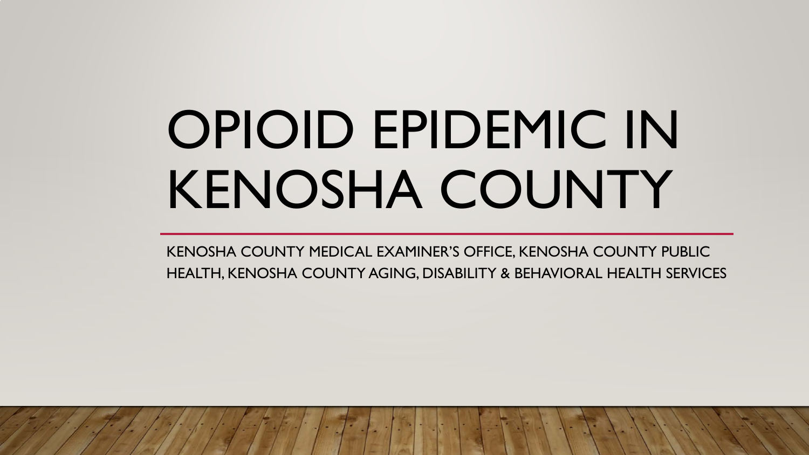# OPIOID EPIDEMIC IN KENOSHA COUNTY

KENOSHA COUNTY MEDICAL EXAMINER'S OFFICE, KENOSHA COUNTY PUBLIC HEALTH, KENOSHA COUNTY AGING, DISABILITY & BEHAVIORAL HEALTH SERVICES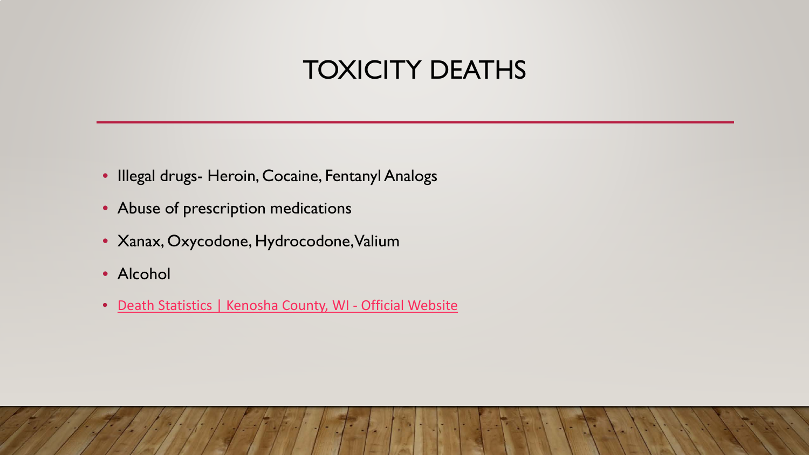### TOXICITY DEATHS

- Illegal drugs- Heroin, Cocaine, Fentanyl Analogs
- Abuse of prescription medications
- Xanax, Oxycodone, Hydrocodone, Valium
- Alcohol
- [Death Statistics | Kenosha County, WI -](https://gcc02.safelinks.protection.outlook.com/?url=https%3A%2F%2Fwww.kenoshacounty.org%2F2001%2FDeath-Statistics&data=05%7C01%7CRebecca.Dutter%40kenoshacounty.org%7Cc002d1b8a3ec432b7ae308da43df6ea1%7C398ef54a8fda4dbc9488d353f54c7af3%7C0%7C0%7C637896924160503935%7CUnknown%7CTWFpbGZsb3d8eyJWIjoiMC4wLjAwMDAiLCJQIjoiV2luMzIiLCJBTiI6Ik1haWwiLCJXVCI6Mn0%3D%7C3000%7C%7C%7C&sdata=IyBzPvRepvWhsNe5Rqsbi1JBzMMyLmhGc3WqvEdmsF4%3D&reserved=0) Official Website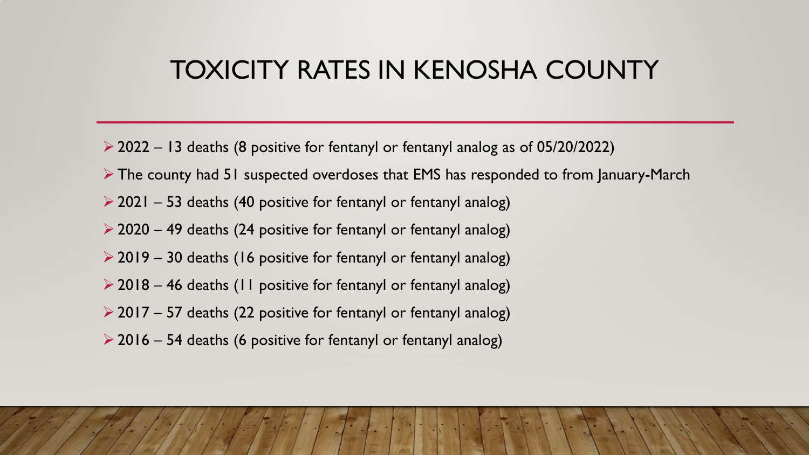#### TOXICITY RATES IN KENOSHA COUNTY

- $\geq$  2022 13 deaths (8 positive for fentanyl or fentanyl analog as of 05/20/2022)
- The county had 51 suspected overdoses that EMS has responded to from January-March
- $\geq$  2021 53 deaths (40 positive for fentanyl or fentanyl analog)
- $\geq$  2020 49 deaths (24 positive for fentanyl or fentanyl analog)
- $\geq$  2019 30 deaths (16 positive for fentanyl or fentanyl analog)
- $\geq$  2018 46 deaths (11 positive for fentanyl or fentanyl analog)
- $\geq$  2017 57 deaths (22 positive for fentanyl or fentanyl analog)
- $\geq$  2016 54 deaths (6 positive for fentanyl or fentanyl analog)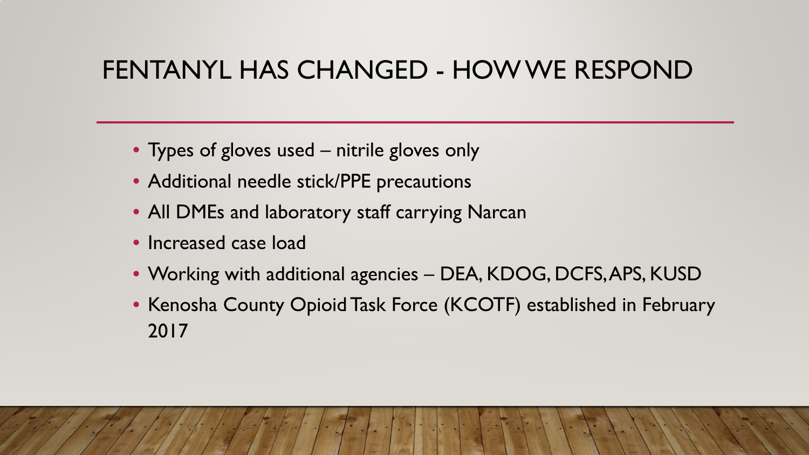### FENTANYL HAS CHANGED - HOW WE RESPOND

- Types of gloves used nitrile gloves only
- Additional needle stick/PPE precautions
- All DMEs and laboratory staff carrying Narcan
- Increased case load
- Working with additional agencies DEA, KDOG, DCFS, APS, KUSD
- Kenosha County Opioid Task Force (KCOTF) established in February 2017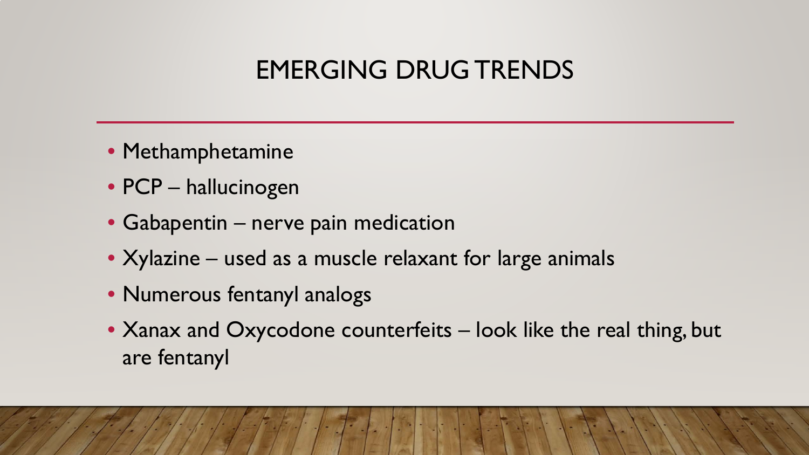### EMERGING DRUG TRENDS

- Methamphetamine
- PCP hallucinogen
- Gabapentin nerve pain medication
- Xylazine used as a muscle relaxant for large animals
- Numerous fentanyl analogs
- Xanax and Oxycodone counterfeits look like the real thing, but are fentanyl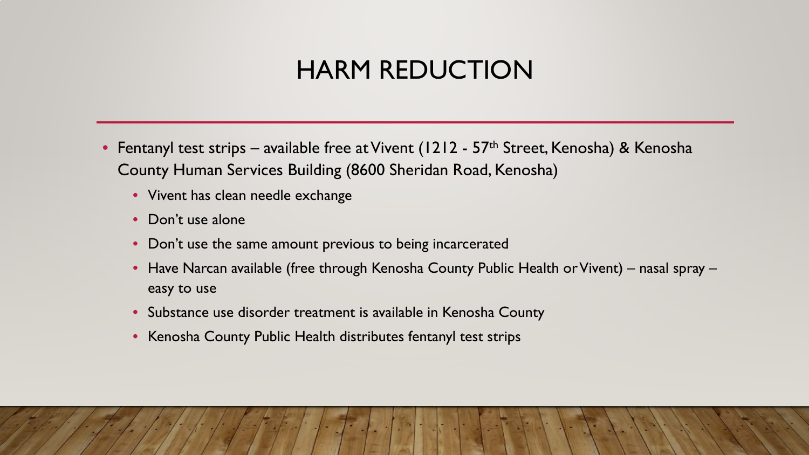### HARM REDUCTION

- Fentanyl test strips available free at Vivent (1212 57<sup>th</sup> Street, Kenosha) & Kenosha County Human Services Building (8600 Sheridan Road, Kenosha)
	- Vivent has clean needle exchange
	- Don't use alone
	- Don't use the same amount previous to being incarcerated
	- Have Narcan available (free through Kenosha County Public Health or Vivent) nasal spray easy to use
	- Substance use disorder treatment is available in Kenosha County
	- Kenosha County Public Health distributes fentanyl test strips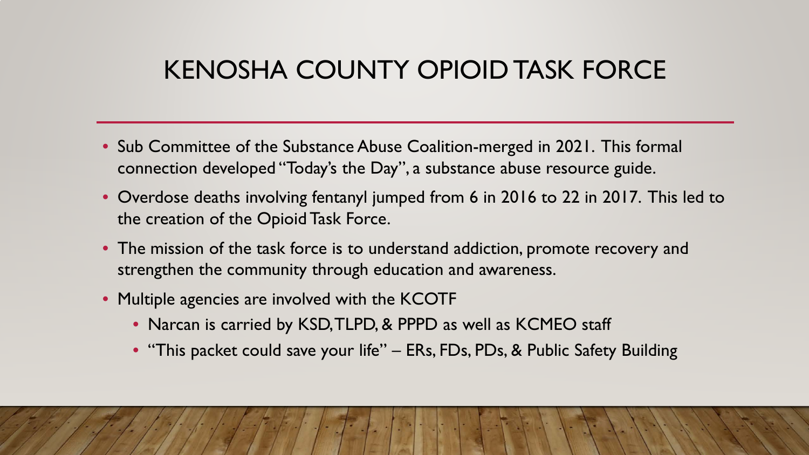### KENOSHA COUNTY OPIOID TASK FORCE

- Sub Committee of the Substance Abuse Coalition-merged in 2021. This formal connection developed "Today's the Day", a substance abuse resource guide.
- Overdose deaths involving fentanyl jumped from 6 in 2016 to 22 in 2017. This led to the creation of the Opioid Task Force.
- The mission of the task force is to understand addiction, promote recovery and strengthen the community through education and awareness.
- Multiple agencies are involved with the KCOTF
	- Narcan is carried by KSD, TLPD, & PPPD as well as KCMEO staff
	- "This packet could save your life" ERs, FDs, PDs, & Public Safety Building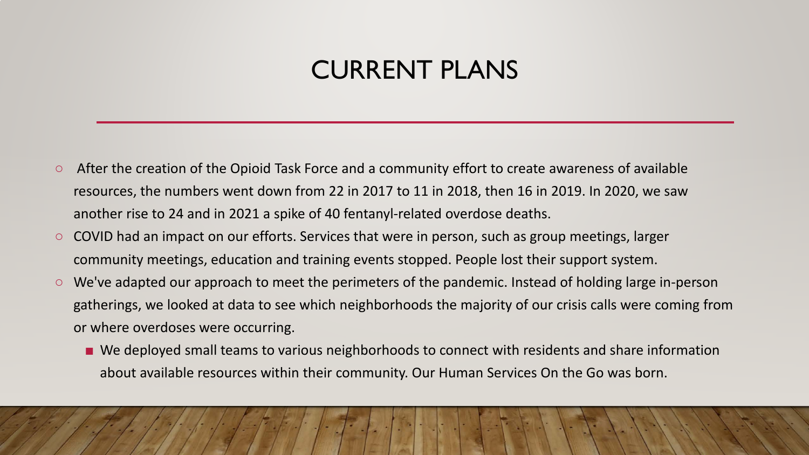### CURRENT PLANS

- After the creation of the Opioid Task Force and a community effort to create awareness of available resources, the numbers went down from 22 in 2017 to 11 in 2018, then 16 in 2019. In 2020, we saw another rise to 24 and in 2021 a spike of 40 fentanyl-related overdose deaths.
- COVID had an impact on our efforts. Services that were in person, such as group meetings, larger community meetings, education and training events stopped. People lost their support system.
- We've adapted our approach to meet the perimeters of the pandemic. Instead of holding large in-person gatherings, we looked at data to see which neighborhoods the majority of our crisis calls were coming from or where overdoses were occurring.
	- We deployed small teams to various neighborhoods to connect with residents and share information about available resources within their community. Our Human Services On the Go was born.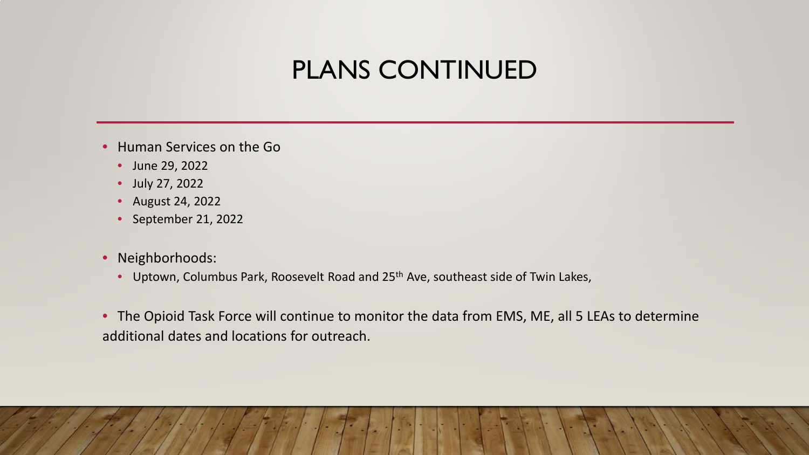### PLANS CONTINUED

- Human Services on the Go
	- June 29, 2022
	- July 27, 2022
	- August 24, 2022
	- September 21, 2022
- Neighborhoods:
	- Uptown, Columbus Park, Roosevelt Road and 25<sup>th</sup> Ave, southeast side of Twin Lakes,
- The Opioid Task Force will continue to monitor the data from EMS, ME, all 5 LEAs to determine additional dates and locations for outreach.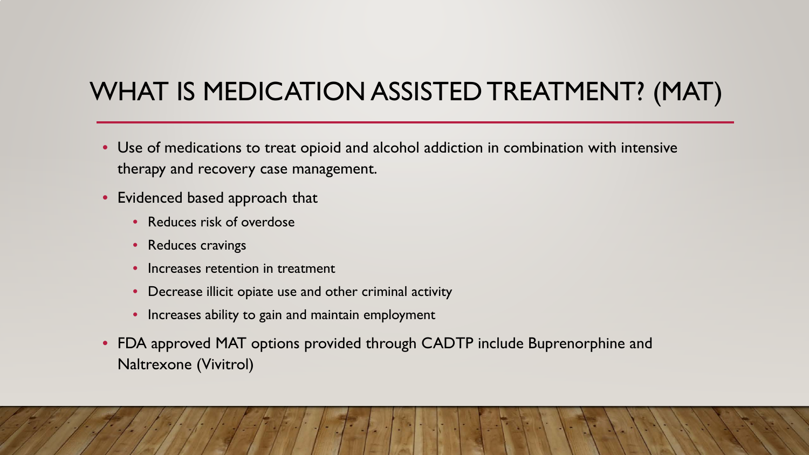### WHAT IS MEDICATION ASSISTED TREATMENT? (MAT)

- Use of medications to treat opioid and alcohol addiction in combination with intensive therapy and recovery case management.
- Evidenced based approach that
	- Reduces risk of overdose
	- Reduces cravings
	- Increases retention in treatment
	- Decrease illicit opiate use and other criminal activity
	- Increases ability to gain and maintain employment
- FDA approved MAT options provided through CADTP include Buprenorphine and Naltrexone (Vivitrol)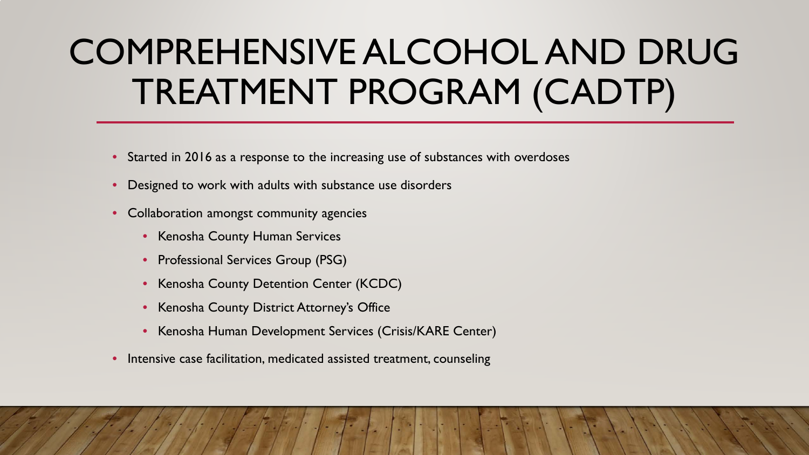## COMPREHENSIVE ALCOHOL AND DRUG TREATMENT PROGRAM (CADTP)

- Started in 2016 as a response to the increasing use of substances with overdoses
- Designed to work with adults with substance use disorders
- Collaboration amongst community agencies
	- Kenosha County Human Services
	- Professional Services Group (PSG)
	- Kenosha County Detention Center (KCDC)
	- Kenosha County District Attorney's Office
	- Kenosha Human Development Services (Crisis/KARE Center)
- Intensive case facilitation, medicated assisted treatment, counseling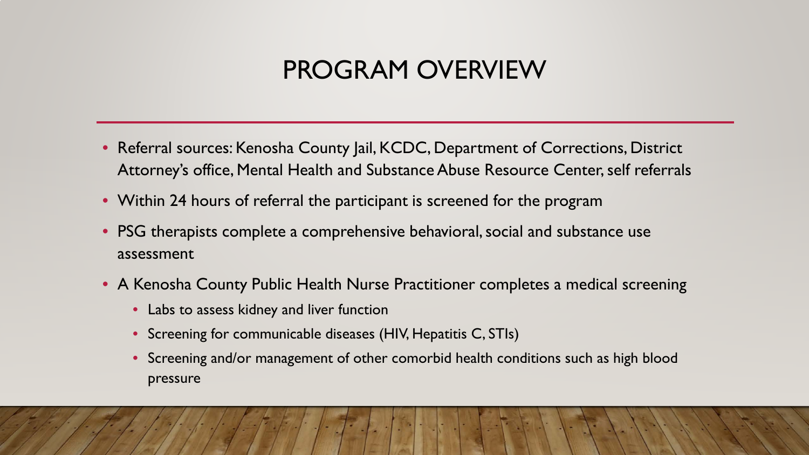### PROGRAM OVERVIEW

- Referral sources: Kenosha County Jail, KCDC, Department of Corrections, District Attorney's office, Mental Health and Substance Abuse Resource Center, self referrals
- Within 24 hours of referral the participant is screened for the program
- PSG therapists complete a comprehensive behavioral, social and substance use assessment
- A Kenosha County Public Health Nurse Practitioner completes a medical screening
	- Labs to assess kidney and liver function
	- Screening for communicable diseases (HIV, Hepatitis C, STIs)
	- Screening and/or management of other comorbid health conditions such as high blood pressure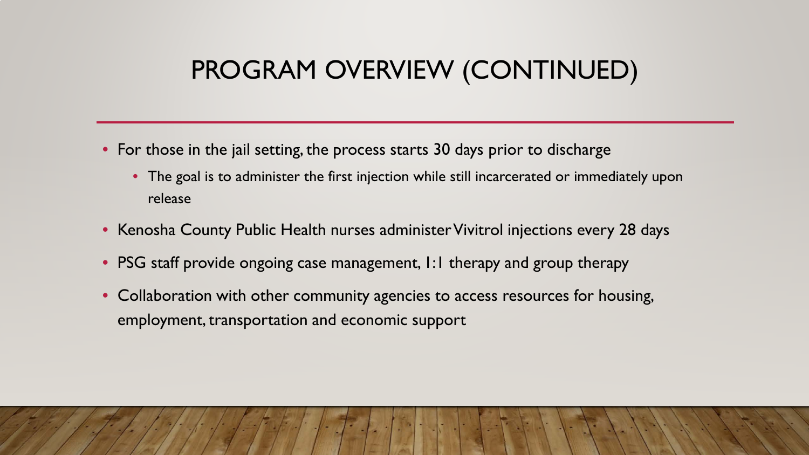### PROGRAM OVERVIEW (CONTINUED)

- For those in the jail setting, the process starts 30 days prior to discharge
	- The goal is to administer the first injection while still incarcerated or immediately upon release
- Kenosha County Public Health nurses administer Vivitrol injections every 28 days
- PSG staff provide ongoing case management, I:I therapy and group therapy
- Collaboration with other community agencies to access resources for housing, employment, transportation and economic support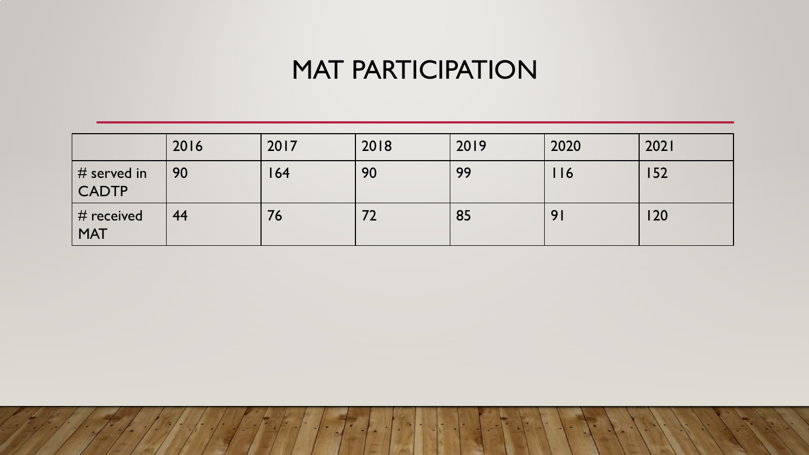### MAT PARTICIPATION

|                              | 2016 | 2017 | 2018 | 2019 | 2020 | 2021 |
|------------------------------|------|------|------|------|------|------|
| $\vert$ # served in<br>CADTP | 90   | 164  | 90   | 99   | 116  | 152  |
| $\#$ received<br><b>MAT</b>  | 44   | 76   |      | 85   | 9    | 120  |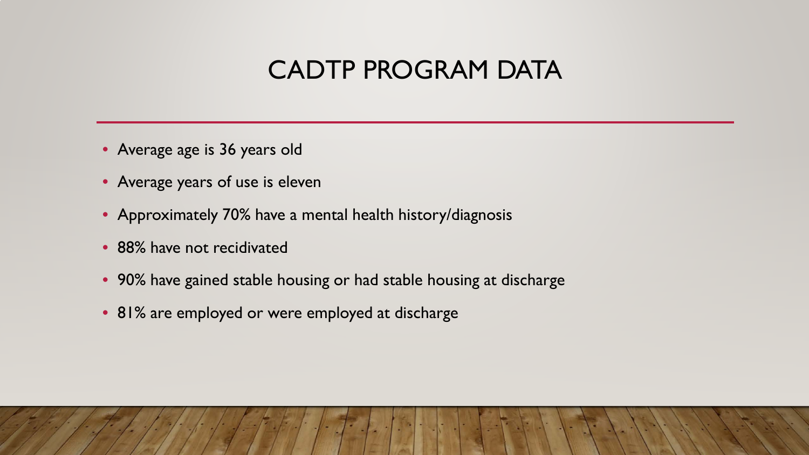### CADTP PROGRAM DATA

- Average age is 36 years old
- Average years of use is eleven
- Approximately 70% have a mental health history/diagnosis
- 88% have not recidivated
- 90% have gained stable housing or had stable housing at discharge
- 81% are employed or were employed at discharge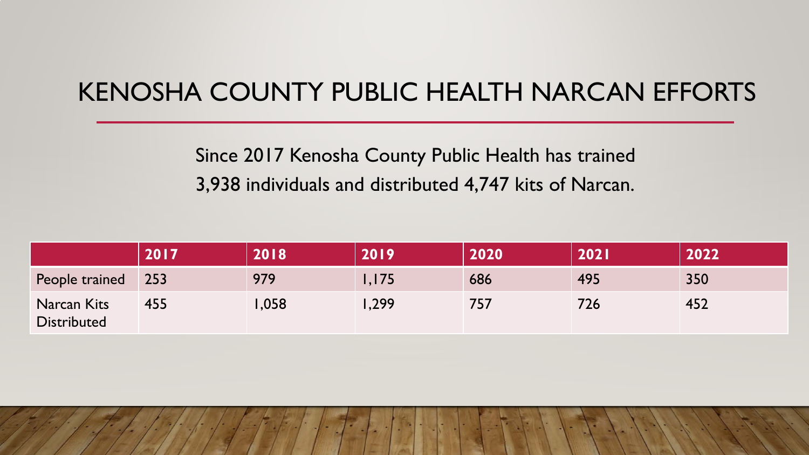### KENOSHA COUNTY PUBLIC HEALTH NARCAN EFFORTS

#### Since 2017 Kenosha County Public Health has trained 3,938 individuals and distributed 4,747 kits of Narcan.

|                                          | 2017 | 2018 | 2019    | 2020 | <b>2021</b> | 2022 |
|------------------------------------------|------|------|---------|------|-------------|------|
| People trained                           | 253  | 979  | I, I 75 | 686  | 495         | 350  |
| <b>Narcan Kits</b><br><b>Distributed</b> | 455  | .058 | ,299    | 757  | 726         | 452  |